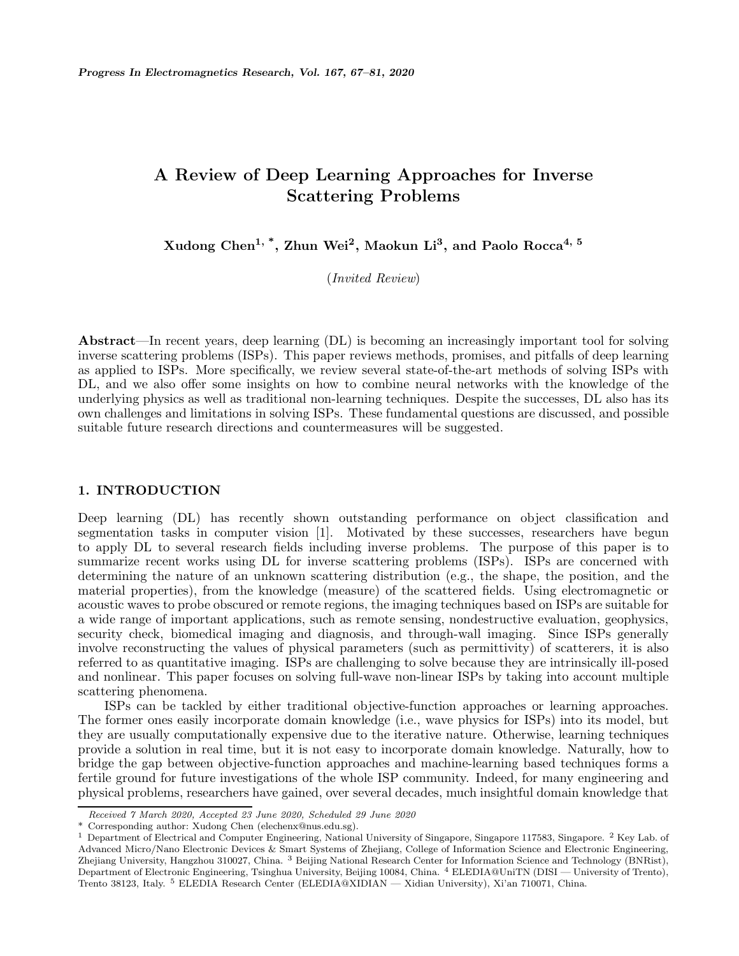# **A Review of Deep Learning Approaches for Inverse Scattering Problems**

**Xudong Chen1, \*, Zhun Wei2, Maokun Li3, and Paolo Rocca4, 5**

(*Invited Review*)

**Abstract**—In recent years, deep learning (DL) is becoming an increasingly important tool for solving inverse scattering problems (ISPs). This paper reviews methods, promises, and pitfalls of deep learning as applied to ISPs. More specifically, we review several state-of-the-art methods of solving ISPs with DL, and we also offer some insights on how to combine neural networks with the knowledge of the underlying physics as well as traditional non-learning techniques. Despite the successes, DL also has its own challenges and limitations in solving ISPs. These fundamental questions are discussed, and possible suitable future research directions and countermeasures will be suggested.

# **1. INTRODUCTION**

Deep learning (DL) has recently shown outstanding performance on object classification and segmentation tasks in computer vision [1]. Motivated by these successes, researchers have begun to apply DL to several research fields including inverse problems. The purpose of this paper is to summarize recent works using DL for inverse scattering problems (ISPs). ISPs are concerned with determining the nature of an unknown scattering distribution (e.g., the shape, the position, and the material properties), from the knowledge (measure) of the scattered fields. Using electromagnetic or acoustic waves to probe obscured or remote regions, the imaging techniques based on ISPs are suitable for a wide range of important applications, such as remote sensing, nondestructive evaluation, geophysics, security check, biomedical imaging and diagnosis, and through-wall imaging. Since ISPs generally involve reconstructing the values of physical parameters (such as permittivity) of scatterers, it is also referred to as quantitative imaging. ISPs are challenging to solve because they are intrinsically ill-posed and nonlinear. This paper focuses on solving full-wave non-linear ISPs by taking into account multiple scattering phenomena.

ISPs can be tackled by either traditional objective-function approaches or learning approaches. The former ones easily incorporate domain knowledge (i.e., wave physics for ISPs) into its model, but they are usually computationally expensive due to the iterative nature. Otherwise, learning techniques provide a solution in real time, but it is not easy to incorporate domain knowledge. Naturally, how to bridge the gap between objective-function approaches and machine-learning based techniques forms a fertile ground for future investigations of the whole ISP community. Indeed, for many engineering and physical problems, researchers have gained, over several decades, much insightful domain knowledge that

*Received 7 March 2020, Accepted 23 June 2020, Scheduled 29 June 2020*

<sup>\*</sup> Corresponding author: Xudong Chen (elechenx@nus.edu.sg).

<sup>&</sup>lt;sup>1</sup> Department of Electrical and Computer Engineering, National University of Singapore, Singapore 117583, Singapore. <sup>2</sup> Key Lab. of Advanced Micro/Nano Electronic Devices & Smart Systems of Zhejiang, College of Information Science and Electronic Engineering, Zhejiang University, Hangzhou 310027, China. <sup>3</sup> Beijing National Research Center for Information Science and Technology (BNRist), Department of Electronic Engineering, Tsinghua University, Beijing 10084, China. <sup>4</sup> ELEDIA@UniTN (DISI — University of Trento), Trento 38123, Italy. <sup>5</sup> ELEDIA Research Center (ELEDIA@XIDIAN — Xidian University), Xi'an 710071, China.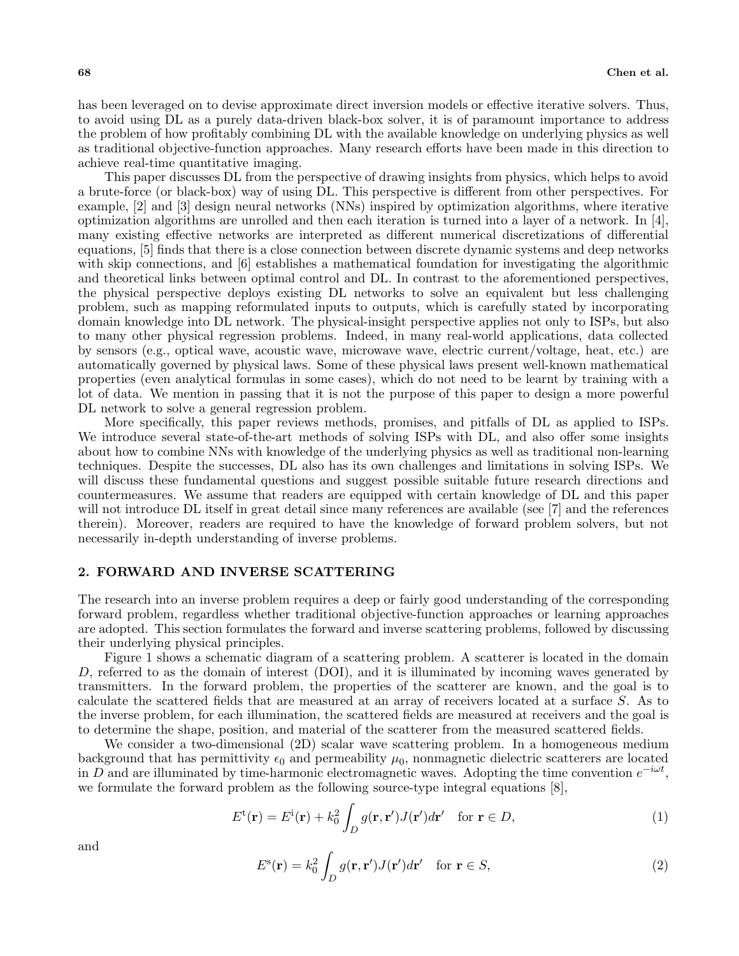has been leveraged on to devise approximate direct inversion models or effective iterative solvers. Thus, to avoid using DL as a purely data-driven black-box solver, it is of paramount importance to address the problem of how profitably combining DL with the available knowledge on underlying physics as well as traditional objective-function approaches. Many research efforts have been made in this direction to achieve real-time quantitative imaging.

This paper discusses DL from the perspective of drawing insights from physics, which helps to avoid a brute-force (or black-box) way of using DL. This perspective is different from other perspectives. For example, [2] and [3] design neural networks (NNs) inspired by optimization algorithms, where iterative optimization algorithms are unrolled and then each iteration is turned into a layer of a network. In [4], many existing effective networks are interpreted as different numerical discretizations of differential equations, [5] finds that there is a close connection between discrete dynamic systems and deep networks with skip connections, and [6] establishes a mathematical foundation for investigating the algorithmic and theoretical links between optimal control and DL. In contrast to the aforementioned perspectives, the physical perspective deploys existing DL networks to solve an equivalent but less challenging problem, such as mapping reformulated inputs to outputs, which is carefully stated by incorporating domain knowledge into DL network. The physical-insight perspective applies not only to ISPs, but also to many other physical regression problems. Indeed, in many real-world applications, data collected by sensors (e.g., optical wave, acoustic wave, microwave wave, electric current/voltage, heat, etc.) are automatically governed by physical laws. Some of these physical laws present well-known mathematical properties (even analytical formulas in some cases), which do not need to be learnt by training with a lot of data. We mention in passing that it is not the purpose of this paper to design a more powerful DL network to solve a general regression problem.

More specifically, this paper reviews methods, promises, and pitfalls of DL as applied to ISPs. We introduce several state-of-the-art methods of solving ISPs with DL, and also offer some insights about how to combine NNs with knowledge of the underlying physics as well as traditional non-learning techniques. Despite the successes, DL also has its own challenges and limitations in solving ISPs. We will discuss these fundamental questions and suggest possible suitable future research directions and countermeasures. We assume that readers are equipped with certain knowledge of DL and this paper will not introduce DL itself in great detail since many references are available (see [7] and the references therein). Moreover, readers are required to have the knowledge of forward problem solvers, but not necessarily in-depth understanding of inverse problems.

# **2. FORWARD AND INVERSE SCATTERING**

The research into an inverse problem requires a deep or fairly good understanding of the corresponding forward problem, regardless whether traditional objective-function approaches or learning approaches are adopted. This section formulates the forward and inverse scattering problems, followed by discussing their underlying physical principles.

Figure 1 shows a schematic diagram of a scattering problem. A scatterer is located in the domain D, referred to as the domain of interest (DOI), and it is illuminated by incoming waves generated by transmitters. In the forward problem, the properties of the scatterer are known, and the goal is to calculate the scattered fields that are measured at an array of receivers located at a surface S. As to the inverse problem, for each illumination, the scattered fields are measured at receivers and the goal is to determine the shape, position, and material of the scatterer from the measured scattered fields.

We consider a two-dimensional (2D) scalar wave scattering problem. In a homogeneous medium background that has permittivity  $\epsilon_0$  and permeability  $\mu_0$ , nonmagnetic dielectric scatterers are located in D and are illuminated by time-harmonic electromagnetic waves. Adopting the time convention  $e^{-i\omega t}$ , we formulate the forward problem as the following source-type integral equations [8],

$$
E^{\mathrm{t}}(\mathbf{r}) = E^{\mathrm{i}}(\mathbf{r}) + k_0^2 \int_D g(\mathbf{r}, \mathbf{r}') J(\mathbf{r}') d\mathbf{r}' \quad \text{for } \mathbf{r} \in D,
$$
 (1)

$$
E^{\rm s}(\mathbf{r}) = k_0^2 \int_D g(\mathbf{r}, \mathbf{r}') J(\mathbf{r}') d\mathbf{r}' \quad \text{for } \mathbf{r} \in S,
$$
 (2)

and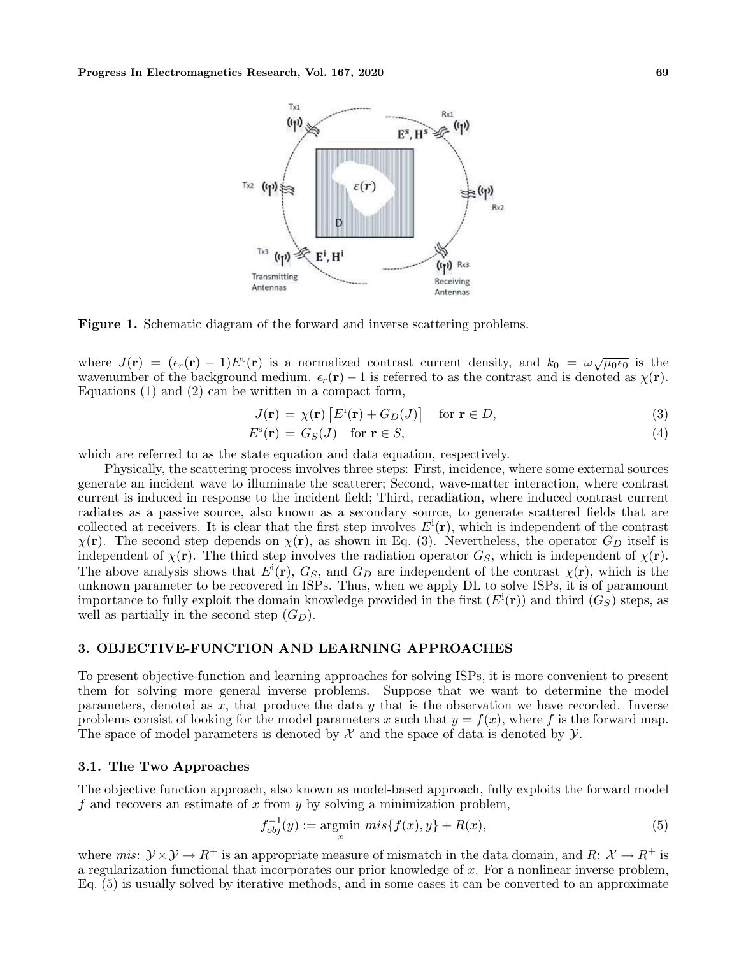

**Figure 1.** Schematic diagram of the forward and inverse scattering problems.

where  $J(\mathbf{r}) = (\epsilon_r(\mathbf{r}) - 1)E^{\dagger}(\mathbf{r})$  is a normalized contrast current density, and  $k_0 = \omega \sqrt{\mu_0 \epsilon_0}$  is the wavenumber of the background medium.  $\epsilon_r(\mathbf{r}) - 1$  is referred to as the contrast and is denoted as  $\chi(\mathbf{r})$ . Equations (1) and (2) can be written in a compact form,

$$
J(\mathbf{r}) = \chi(\mathbf{r}) \left[ E^{\mathbf{i}}(\mathbf{r}) + G_D(J) \right] \quad \text{for } \mathbf{r} \in D,
$$
\n(3)

$$
E^{\rm s}(\mathbf{r}) = G_S(J) \quad \text{for } \mathbf{r} \in S,
$$
\n<sup>(4)</sup>

which are referred to as the state equation and data equation, respectively.

Physically, the scattering process involves three steps: First, incidence, where some external sources generate an incident wave to illuminate the scatterer; Second, wave-matter interaction, where contrast current is induced in response to the incident field; Third, reradiation, where induced contrast current radiates as a passive source, also known as a secondary source, to generate scattered fields that are collected at receivers. It is clear that the first step involves  $E^i(\mathbf{r})$ , which is independent of the contrast  $\chi(\mathbf{r})$ . The second step depends on  $\chi(\mathbf{r})$ , as shown in Eq. (3). Nevertheless, the operator  $G_D$  itself is independent of  $\chi(\mathbf{r})$ . The third step involves the radiation operator  $G_S$ , which is independent of  $\chi(\mathbf{r})$ . The above analysis shows that  $E^i(\mathbf{r})$ ,  $G_S$ , and  $G_D$  are independent of the contrast  $\chi(\mathbf{r})$ , which is the unknown parameter to be recovered in ISPs. Thus, when we apply DL to solve ISPs, it is of paramount importance to fully exploit the domain knowledge provided in the first  $(E^i(\mathbf{r}))$  and third  $(G_S)$  steps, as well as partially in the second step  $(G_D)$ .

# **3. OBJECTIVE-FUNCTION AND LEARNING APPROACHES**

To present objective-function and learning approaches for solving ISPs, it is more convenient to present them for solving more general inverse problems. Suppose that we want to determine the model parameters, denoted as  $x$ , that produce the data  $y$  that is the observation we have recorded. Inverse problems consist of looking for the model parameters x such that  $y = f(x)$ , where f is the forward map. The space of model parameters is denoted by  $\mathcal X$  and the space of data is denoted by  $\mathcal Y$ .

#### **3.1. The Two Approaches**

The objective function approach, also known as model-based approach, fully exploits the forward model f and recovers an estimate of x from y by solving a minimization problem,

$$
f_{obj}^{-1}(y) := \underset{x}{\text{argmin}} \; mis\{f(x), y\} + R(x), \tag{5}
$$

where *mis*:  $\mathcal{Y} \times \mathcal{Y} \to R^+$  is an appropriate measure of mismatch in the data domain, and  $R: \mathcal{X} \to R^+$  is a regularization functional that incorporates our prior knowledge of  $x$ . For a nonlinear inverse problem, Eq. (5) is usually solved by iterative methods, and in some cases it can be converted to an approximate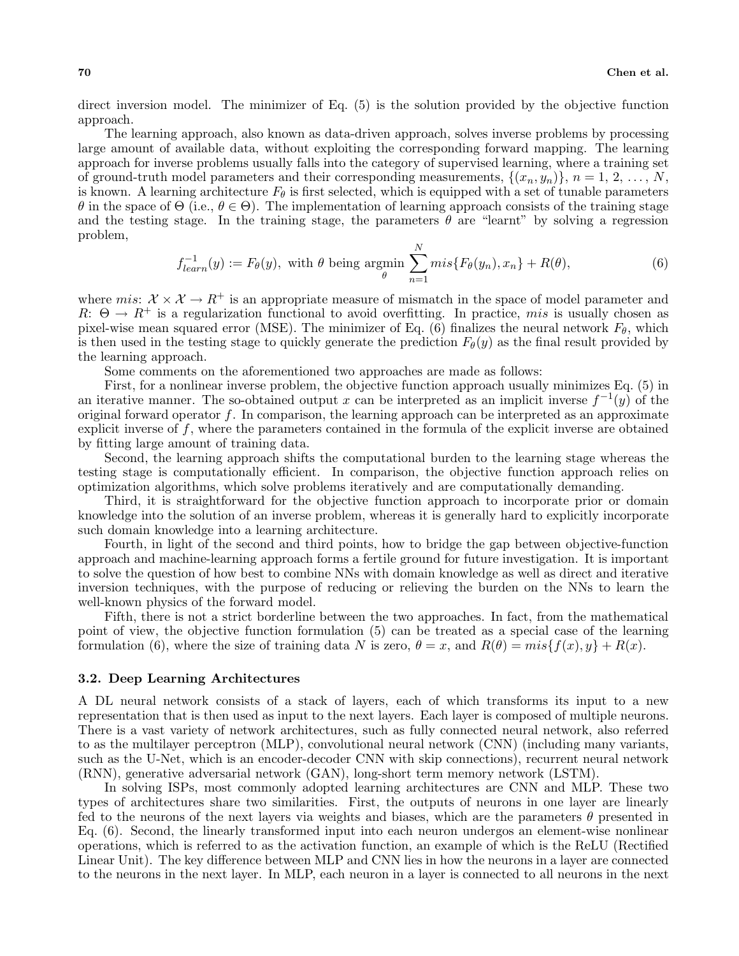direct inversion model. The minimizer of Eq. (5) is the solution provided by the objective function approach.

The learning approach, also known as data-driven approach, solves inverse problems by processing large amount of available data, without exploiting the corresponding forward mapping. The learning approach for inverse problems usually falls into the category of supervised learning, where a training set of ground-truth model parameters and their corresponding measurements,  $\{(x_n, y_n)\}, n = 1, 2, \ldots, N$ , is known. A learning architecture  $F_{\theta}$  is first selected, which is equipped with a set of tunable parameters θ in the space of Θ (i.e., θ ∈ Θ). The implementation of learning approach consists of the training stage and the testing stage. In the training stage, the parameters  $\theta$  are "learnt" by solving a regression problem,

$$
f_{learn}^{-1}(y) := F_{\theta}(y), \text{ with } \theta \text{ being argmin} \sum_{n=1}^{N} mis\{F_{\theta}(y_n), x_n\} + R(\theta), \tag{6}
$$

where mis:  $\mathcal{X} \times \mathcal{X} \to R^+$  is an appropriate measure of mismatch in the space of model parameter and R:  $\Theta \to R^+$  is a regularization functional to avoid overfitting. In practice, mis is usually chosen as pixel-wise mean squared error (MSE). The minimizer of Eq. (6) finalizes the neural network  $F_{\theta}$ , which is then used in the testing stage to quickly generate the prediction  $F_{\theta}(y)$  as the final result provided by the learning approach.

Some comments on the aforementioned two approaches are made as follows:

First, for a nonlinear inverse problem, the objective function approach usually minimizes Eq. (5) in an iterative manner. The so-obtained output x can be interpreted as an implicit inverse  $f^{-1}(y)$  of the original forward operator  $f$ . In comparison, the learning approach can be interpreted as an approximate explicit inverse of  $f$ , where the parameters contained in the formula of the explicit inverse are obtained by fitting large amount of training data.

Second, the learning approach shifts the computational burden to the learning stage whereas the testing stage is computationally efficient. In comparison, the objective function approach relies on optimization algorithms, which solve problems iteratively and are computationally demanding.

Third, it is straightforward for the objective function approach to incorporate prior or domain knowledge into the solution of an inverse problem, whereas it is generally hard to explicitly incorporate such domain knowledge into a learning architecture.

Fourth, in light of the second and third points, how to bridge the gap between objective-function approach and machine-learning approach forms a fertile ground for future investigation. It is important to solve the question of how best to combine NNs with domain knowledge as well as direct and iterative inversion techniques, with the purpose of reducing or relieving the burden on the NNs to learn the well-known physics of the forward model.

Fifth, there is not a strict borderline between the two approaches. In fact, from the mathematical point of view, the objective function formulation (5) can be treated as a special case of the learning formulation (6), where the size of training data N is zero,  $\theta = x$ , and  $R(\theta) = mis{f(x), y} + R(x)$ .

#### **3.2. Deep Learning Architectures**

A DL neural network consists of a stack of layers, each of which transforms its input to a new representation that is then used as input to the next layers. Each layer is composed of multiple neurons. There is a vast variety of network architectures, such as fully connected neural network, also referred to as the multilayer perceptron (MLP), convolutional neural network (CNN) (including many variants, such as the U-Net, which is an encoder-decoder CNN with skip connections), recurrent neural network (RNN), generative adversarial network (GAN), long-short term memory network (LSTM).

In solving ISPs, most commonly adopted learning architectures are CNN and MLP. These two types of architectures share two similarities. First, the outputs of neurons in one layer are linearly fed to the neurons of the next layers via weights and biases, which are the parameters  $\theta$  presented in Eq. (6). Second, the linearly transformed input into each neuron undergos an element-wise nonlinear operations, which is referred to as the activation function, an example of which is the ReLU (Rectified Linear Unit). The key difference between MLP and CNN lies in how the neurons in a layer are connected to the neurons in the next layer. In MLP, each neuron in a layer is connected to all neurons in the next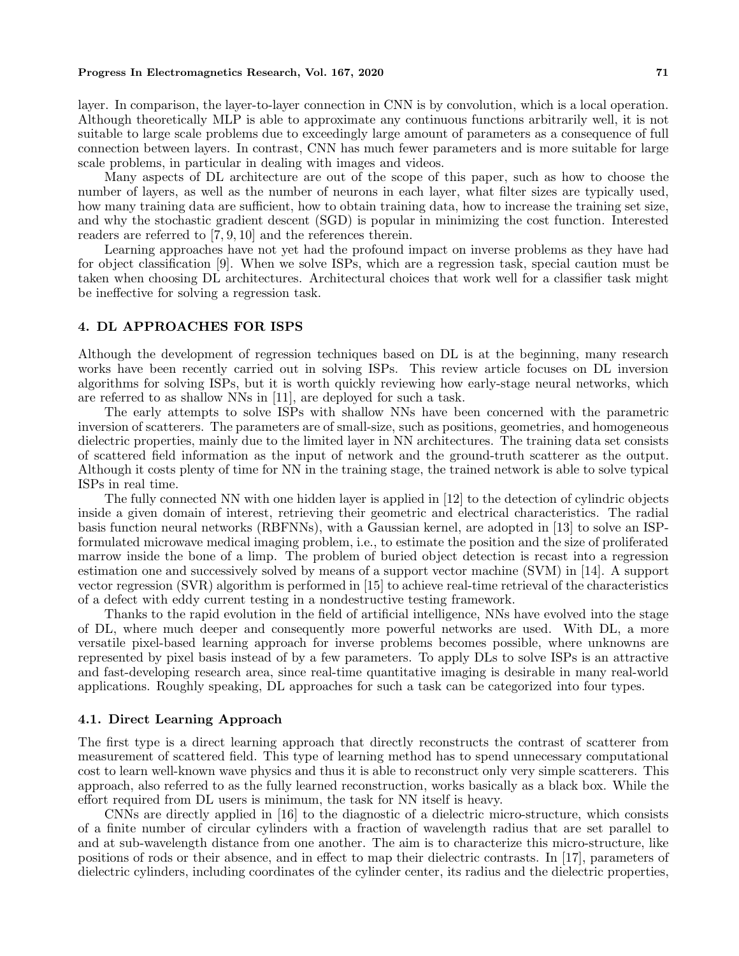layer. In comparison, the layer-to-layer connection in CNN is by convolution, which is a local operation. Although theoretically MLP is able to approximate any continuous functions arbitrarily well, it is not suitable to large scale problems due to exceedingly large amount of parameters as a consequence of full connection between layers. In contrast, CNN has much fewer parameters and is more suitable for large scale problems, in particular in dealing with images and videos.

Many aspects of DL architecture are out of the scope of this paper, such as how to choose the number of layers, as well as the number of neurons in each layer, what filter sizes are typically used, how many training data are sufficient, how to obtain training data, how to increase the training set size, and why the stochastic gradient descent (SGD) is popular in minimizing the cost function. Interested readers are referred to [7, 9, 10] and the references therein.

Learning approaches have not yet had the profound impact on inverse problems as they have had for object classification [9]. When we solve ISPs, which are a regression task, special caution must be taken when choosing DL architectures. Architectural choices that work well for a classifier task might be ineffective for solving a regression task.

### **4. DL APPROACHES FOR ISPS**

Although the development of regression techniques based on DL is at the beginning, many research works have been recently carried out in solving ISPs. This review article focuses on DL inversion algorithms for solving ISPs, but it is worth quickly reviewing how early-stage neural networks, which are referred to as shallow NNs in [11], are deployed for such a task.

The early attempts to solve ISPs with shallow NNs have been concerned with the parametric inversion of scatterers. The parameters are of small-size, such as positions, geometries, and homogeneous dielectric properties, mainly due to the limited layer in NN architectures. The training data set consists of scattered field information as the input of network and the ground-truth scatterer as the output. Although it costs plenty of time for NN in the training stage, the trained network is able to solve typical ISPs in real time.

The fully connected NN with one hidden layer is applied in [12] to the detection of cylindric objects inside a given domain of interest, retrieving their geometric and electrical characteristics. The radial basis function neural networks (RBFNNs), with a Gaussian kernel, are adopted in [13] to solve an ISPformulated microwave medical imaging problem, i.e., to estimate the position and the size of proliferated marrow inside the bone of a limp. The problem of buried object detection is recast into a regression estimation one and successively solved by means of a support vector machine (SVM) in [14]. A support vector regression (SVR) algorithm is performed in [15] to achieve real-time retrieval of the characteristics of a defect with eddy current testing in a nondestructive testing framework.

Thanks to the rapid evolution in the field of artificial intelligence, NNs have evolved into the stage of DL, where much deeper and consequently more powerful networks are used. With DL, a more versatile pixel-based learning approach for inverse problems becomes possible, where unknowns are represented by pixel basis instead of by a few parameters. To apply DLs to solve ISPs is an attractive and fast-developing research area, since real-time quantitative imaging is desirable in many real-world applications. Roughly speaking, DL approaches for such a task can be categorized into four types.

#### **4.1. Direct Learning Approach**

The first type is a direct learning approach that directly reconstructs the contrast of scatterer from measurement of scattered field. This type of learning method has to spend unnecessary computational cost to learn well-known wave physics and thus it is able to reconstruct only very simple scatterers. This approach, also referred to as the fully learned reconstruction, works basically as a black box. While the effort required from DL users is minimum, the task for NN itself is heavy.

CNNs are directly applied in [16] to the diagnostic of a dielectric micro-structure, which consists of a finite number of circular cylinders with a fraction of wavelength radius that are set parallel to and at sub-wavelength distance from one another. The aim is to characterize this micro-structure, like positions of rods or their absence, and in effect to map their dielectric contrasts. In [17], parameters of dielectric cylinders, including coordinates of the cylinder center, its radius and the dielectric properties,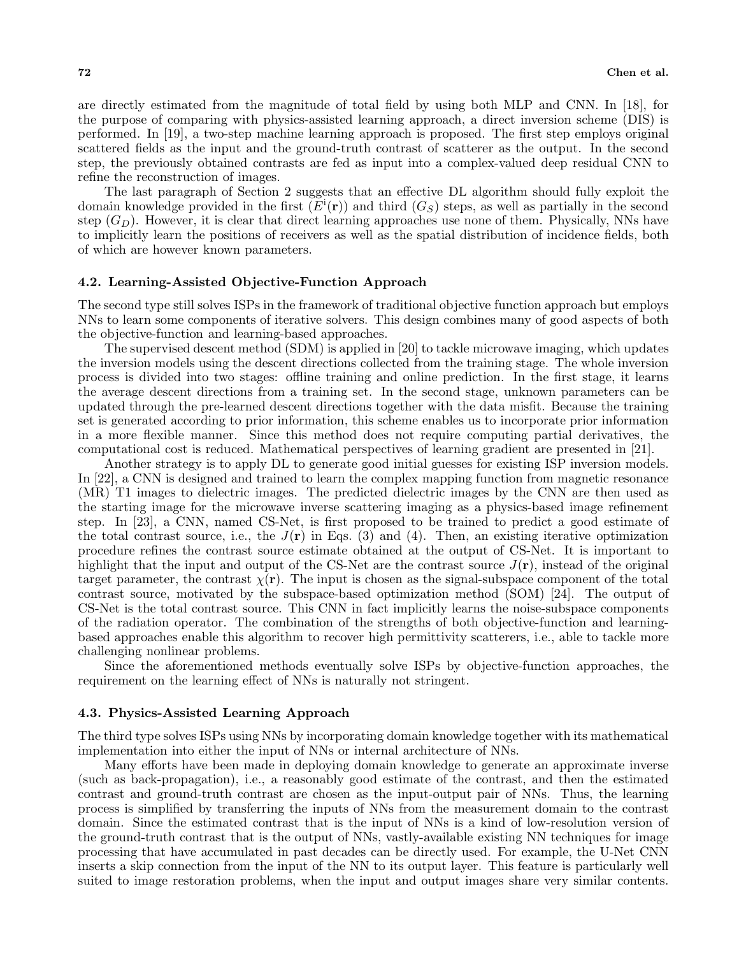are directly estimated from the magnitude of total field by using both MLP and CNN. In [18], for the purpose of comparing with physics-assisted learning approach, a direct inversion scheme (DIS) is performed. In [19], a two-step machine learning approach is proposed. The first step employs original scattered fields as the input and the ground-truth contrast of scatterer as the output. In the second step, the previously obtained contrasts are fed as input into a complex-valued deep residual CNN to refine the reconstruction of images.

The last paragraph of Section 2 suggests that an effective DL algorithm should fully exploit the domain knowledge provided in the first  $(E^i(\mathbf{r}))$  and third  $(G_S)$  steps, as well as partially in the second step  $(G_D)$ . However, it is clear that direct learning approaches use none of them. Physically, NNs have to implicitly learn the positions of receivers as well as the spatial distribution of incidence fields, both of which are however known parameters.

#### **4.2. Learning-Assisted Objective-Function Approach**

The second type still solves ISPs in the framework of traditional objective function approach but employs NNs to learn some components of iterative solvers. This design combines many of good aspects of both the objective-function and learning-based approaches.

The supervised descent method (SDM) is applied in [20] to tackle microwave imaging, which updates the inversion models using the descent directions collected from the training stage. The whole inversion process is divided into two stages: offline training and online prediction. In the first stage, it learns the average descent directions from a training set. In the second stage, unknown parameters can be updated through the pre-learned descent directions together with the data misfit. Because the training set is generated according to prior information, this scheme enables us to incorporate prior information in a more flexible manner. Since this method does not require computing partial derivatives, the computational cost is reduced. Mathematical perspectives of learning gradient are presented in [21].

Another strategy is to apply DL to generate good initial guesses for existing ISP inversion models. In [22], a CNN is designed and trained to learn the complex mapping function from magnetic resonance (MR) T1 images to dielectric images. The predicted dielectric images by the CNN are then used as the starting image for the microwave inverse scattering imaging as a physics-based image refinement step. In [23], a CNN, named CS-Net, is first proposed to be trained to predict a good estimate of the total contrast source, i.e., the  $J(r)$  in Eqs. (3) and (4). Then, an existing iterative optimization procedure refines the contrast source estimate obtained at the output of CS-Net. It is important to highlight that the input and output of the CS-Net are the contrast source  $J(\mathbf{r})$ , instead of the original target parameter, the contrast  $\chi(\mathbf{r})$ . The input is chosen as the signal-subspace component of the total contrast source, motivated by the subspace-based optimization method (SOM) [24]. The output of CS-Net is the total contrast source. This CNN in fact implicitly learns the noise-subspace components of the radiation operator. The combination of the strengths of both objective-function and learningbased approaches enable this algorithm to recover high permittivity scatterers, i.e., able to tackle more challenging nonlinear problems.

Since the aforementioned methods eventually solve ISPs by objective-function approaches, the requirement on the learning effect of NNs is naturally not stringent.

#### **4.3. Physics-Assisted Learning Approach**

The third type solves ISPs using NNs by incorporating domain knowledge together with its mathematical implementation into either the input of NNs or internal architecture of NNs.

Many efforts have been made in deploying domain knowledge to generate an approximate inverse (such as back-propagation), i.e., a reasonably good estimate of the contrast, and then the estimated contrast and ground-truth contrast are chosen as the input-output pair of NNs. Thus, the learning process is simplified by transferring the inputs of NNs from the measurement domain to the contrast domain. Since the estimated contrast that is the input of NNs is a kind of low-resolution version of the ground-truth contrast that is the output of NNs, vastly-available existing NN techniques for image processing that have accumulated in past decades can be directly used. For example, the U-Net CNN inserts a skip connection from the input of the NN to its output layer. This feature is particularly well suited to image restoration problems, when the input and output images share very similar contents.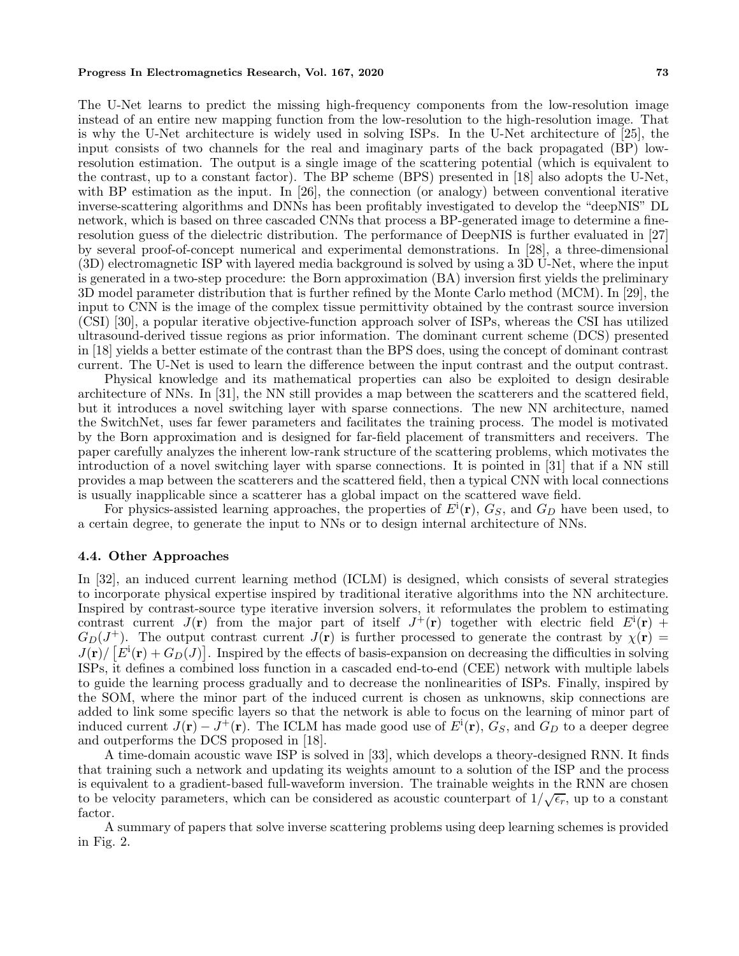The U-Net learns to predict the missing high-frequency components from the low-resolution image instead of an entire new mapping function from the low-resolution to the high-resolution image. That is why the U-Net architecture is widely used in solving ISPs. In the U-Net architecture of [25], the input consists of two channels for the real and imaginary parts of the back propagated (BP) lowresolution estimation. The output is a single image of the scattering potential (which is equivalent to the contrast, up to a constant factor). The BP scheme (BPS) presented in [18] also adopts the U-Net, with BP estimation as the input. In [26], the connection (or analogy) between conventional iterative inverse-scattering algorithms and DNNs has been profitably investigated to develop the "deepNIS" DL network, which is based on three cascaded CNNs that process a BP-generated image to determine a fineresolution guess of the dielectric distribution. The performance of DeepNIS is further evaluated in [27] by several proof-of-concept numerical and experimental demonstrations. In [28], a three-dimensional (3D) electromagnetic ISP with layered media background is solved by using a 3D U-Net, where the input is generated in a two-step procedure: the Born approximation (BA) inversion first yields the preliminary 3D model parameter distribution that is further refined by the Monte Carlo method (MCM). In [29], the input to CNN is the image of the complex tissue permittivity obtained by the contrast source inversion (CSI) [30], a popular iterative objective-function approach solver of ISPs, whereas the CSI has utilized ultrasound-derived tissue regions as prior information. The dominant current scheme (DCS) presented in [18] yields a better estimate of the contrast than the BPS does, using the concept of dominant contrast current. The U-Net is used to learn the difference between the input contrast and the output contrast.

Physical knowledge and its mathematical properties can also be exploited to design desirable architecture of NNs. In [31], the NN still provides a map between the scatterers and the scattered field, but it introduces a novel switching layer with sparse connections. The new NN architecture, named the SwitchNet, uses far fewer parameters and facilitates the training process. The model is motivated by the Born approximation and is designed for far-field placement of transmitters and receivers. The paper carefully analyzes the inherent low-rank structure of the scattering problems, which motivates the introduction of a novel switching layer with sparse connections. It is pointed in [31] that if a NN still provides a map between the scatterers and the scattered field, then a typical CNN with local connections is usually inapplicable since a scatterer has a global impact on the scattered wave field.

For physics-assisted learning approaches, the properties of  $E^i(\mathbf{r})$ ,  $G_S$ , and  $G_D$  have been used, to a certain degree, to generate the input to NNs or to design internal architecture of NNs.

# **4.4. Other Approaches**

In [32], an induced current learning method (ICLM) is designed, which consists of several strategies to incorporate physical expertise inspired by traditional iterative algorithms into the NN architecture. Inspired by contrast-source type iterative inversion solvers, it reformulates the problem to estimating contrast current  $J(\mathbf{r})$  from the major part of itself  $J^+(\mathbf{r})$  together with electric field  $E^i(\mathbf{r})$  +  $G_D(J^+)$ . The output contrast current  $J(\mathbf{r})$  is further processed to generate the contrast by  $\chi(\mathbf{r}) =$  $J(\mathbf{r})/[\overline{E}^i(\mathbf{r})+G_D(J)]$ . Inspired by the effects of basis-expansion on decreasing the difficulties in solving ISPs, it defines a combined loss function in a cascaded end-to-end (CEE) network with multiple labels to guide the learning process gradually and to decrease the nonlinearities of ISPs. Finally, inspired by the SOM, where the minor part of the induced current is chosen as unknowns, skip connections are added to link some specific layers so that the network is able to focus on the learning of minor part of induced current  $J(\mathbf{r}) - J^+(\mathbf{r})$ . The ICLM has made good use of  $E^i(\mathbf{r})$ ,  $G_S$ , and  $G_D$  to a deeper degree and outperforms the DCS proposed in [18].

A time-domain acoustic wave ISP is solved in [33], which develops a theory-designed RNN. It finds that training such a network and updating its weights amount to a solution of the ISP and the process is equivalent to a gradient-based full-waveform inversion. The trainable weights in the RNN are chosen to be velocity parameters, which can be considered as acoustic counterpart of  $1/\sqrt{\epsilon_r}$ , up to a constant factor.

A summary of papers that solve inverse scattering problems using deep learning schemes is provided in Fig. 2.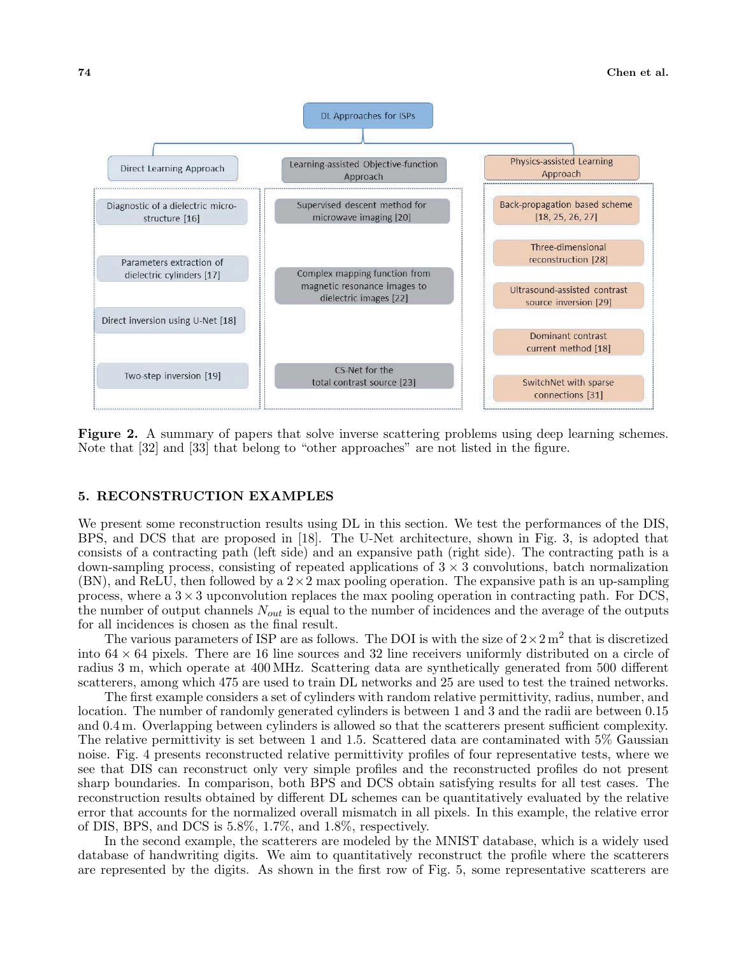

**Figure 2.** A summary of papers that solve inverse scattering problems using deep learning schemes. Note that [32] and [33] that belong to "other approaches" are not listed in the figure.

# **5. RECONSTRUCTION EXAMPLES**

We present some reconstruction results using DL in this section. We test the performances of the DIS, BPS, and DCS that are proposed in [18]. The U-Net architecture, shown in Fig. 3, is adopted that consists of a contracting path (left side) and an expansive path (right side). The contracting path is a down-sampling process, consisting of repeated applications of  $3 \times 3$  convolutions, batch normalization  $(BN)$ , and ReLU, then followed by a  $2\times 2$  max pooling operation. The expansive path is an up-sampling process, where a  $3 \times 3$  upconvolution replaces the max pooling operation in contracting path. For DCS, the number of output channels  $N_{out}$  is equal to the number of incidences and the average of the outputs for all incidences is chosen as the final result.

The various parameters of ISP are as follows. The DOI is with the size of  $2 \times 2$  m<sup>2</sup> that is discretized into  $64 \times 64$  pixels. There are 16 line sources and 32 line receivers uniformly distributed on a circle of radius 3 m, which operate at 400 MHz. Scattering data are synthetically generated from 500 different scatterers, among which 475 are used to train DL networks and 25 are used to test the trained networks.

The first example considers a set of cylinders with random relative permittivity, radius, number, and location. The number of randomly generated cylinders is between 1 and 3 and the radii are between 0.15 and 0.4 m. Overlapping between cylinders is allowed so that the scatterers present sufficient complexity. The relative permittivity is set between 1 and 1.5. Scattered data are contaminated with 5% Gaussian noise. Fig. 4 presents reconstructed relative permittivity profiles of four representative tests, where we see that DIS can reconstruct only very simple profiles and the reconstructed profiles do not present sharp boundaries. In comparison, both BPS and DCS obtain satisfying results for all test cases. The reconstruction results obtained by different DL schemes can be quantitatively evaluated by the relative error that accounts for the normalized overall mismatch in all pixels. In this example, the relative error of DIS, BPS, and DCS is 5.8%, 1.7%, and 1.8%, respectively.

In the second example, the scatterers are modeled by the MNIST database, which is a widely used database of handwriting digits. We aim to quantitatively reconstruct the profile where the scatterers are represented by the digits. As shown in the first row of Fig. 5, some representative scatterers are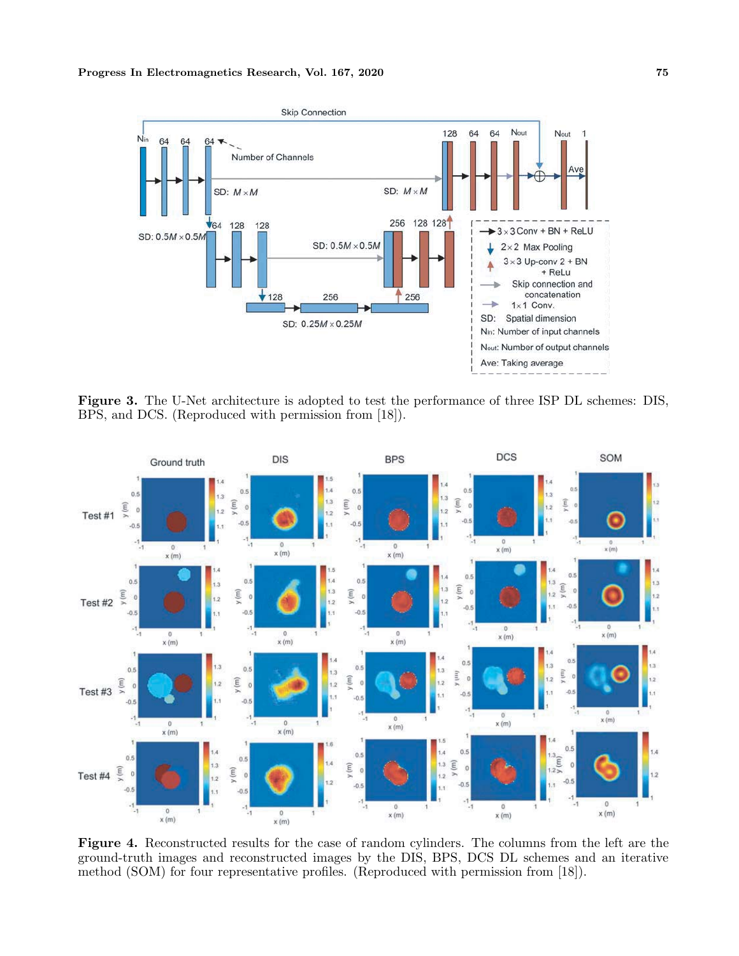

**Figure 3.** The U-Net architecture is adopted to test the performance of three ISP DL schemes: DIS, BPS, and DCS. (Reproduced with permission from [18]).



**Figure 4.** Reconstructed results for the case of random cylinders. The columns from the left are the ground-truth images and reconstructed images by the DIS, BPS, DCS DL schemes and an iterative method (SOM) for four representative profiles. (Reproduced with permission from [18]).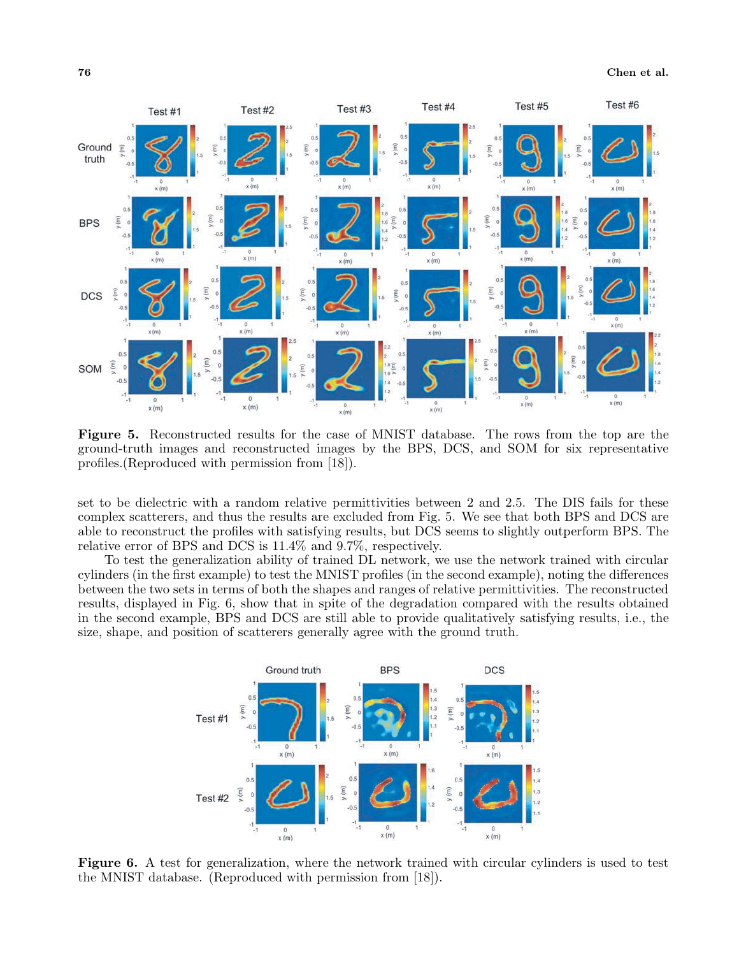

**Figure 5.** Reconstructed results for the case of MNIST database. The rows from the top are the ground-truth images and reconstructed images by the BPS, DCS, and SOM for six representative profiles.(Reproduced with permission from [18]).

set to be dielectric with a random relative permittivities between 2 and 2.5. The DIS fails for these complex scatterers, and thus the results are excluded from Fig. 5. We see that both BPS and DCS are able to reconstruct the profiles with satisfying results, but DCS seems to slightly outperform BPS. The relative error of BPS and DCS is 11.4% and 9.7%, respectively.

To test the generalization ability of trained DL network, we use the network trained with circular cylinders (in the first example) to test the MNIST profiles (in the second example), noting the differences between the two sets in terms of both the shapes and ranges of relative permittivities. The reconstructed results, displayed in Fig. 6, show that in spite of the degradation compared with the results obtained in the second example, BPS and DCS are still able to provide qualitatively satisfying results, i.e., the size, shape, and position of scatterers generally agree with the ground truth.



**Figure 6.** A test for generalization, where the network trained with circular cylinders is used to test the MNIST database. (Reproduced with permission from [18]).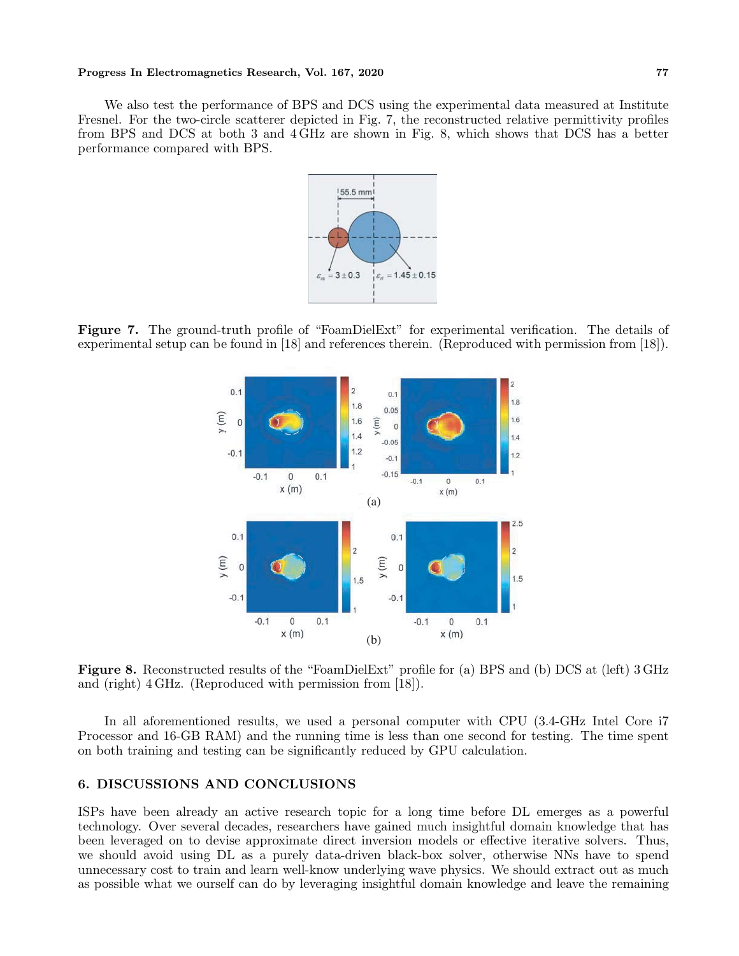We also test the performance of BPS and DCS using the experimental data measured at Institute Fresnel. For the two-circle scatterer depicted in Fig. 7, the reconstructed relative permittivity profiles from BPS and DCS at both 3 and 4 GHz are shown in Fig. 8, which shows that DCS has a better performance compared with BPS.



Figure 7. The ground-truth profile of "FoamDielExt" for experimental verification. The details of experimental setup can be found in [18] and references therein. (Reproduced with permission from [18]).



**Figure 8.** Reconstructed results of the "FoamDielExt" profile for (a) BPS and (b) DCS at (left) 3 GHz and (right) 4 GHz. (Reproduced with permission from [18]).

In all aforementioned results, we used a personal computer with CPU (3.4-GHz Intel Core i7 Processor and 16-GB RAM) and the running time is less than one second for testing. The time spent on both training and testing can be significantly reduced by GPU calculation.

# **6. DISCUSSIONS AND CONCLUSIONS**

ISPs have been already an active research topic for a long time before DL emerges as a powerful technology. Over several decades, researchers have gained much insightful domain knowledge that has been leveraged on to devise approximate direct inversion models or effective iterative solvers. Thus, we should avoid using DL as a purely data-driven black-box solver, otherwise NNs have to spend unnecessary cost to train and learn well-know underlying wave physics. We should extract out as much as possible what we ourself can do by leveraging insightful domain knowledge and leave the remaining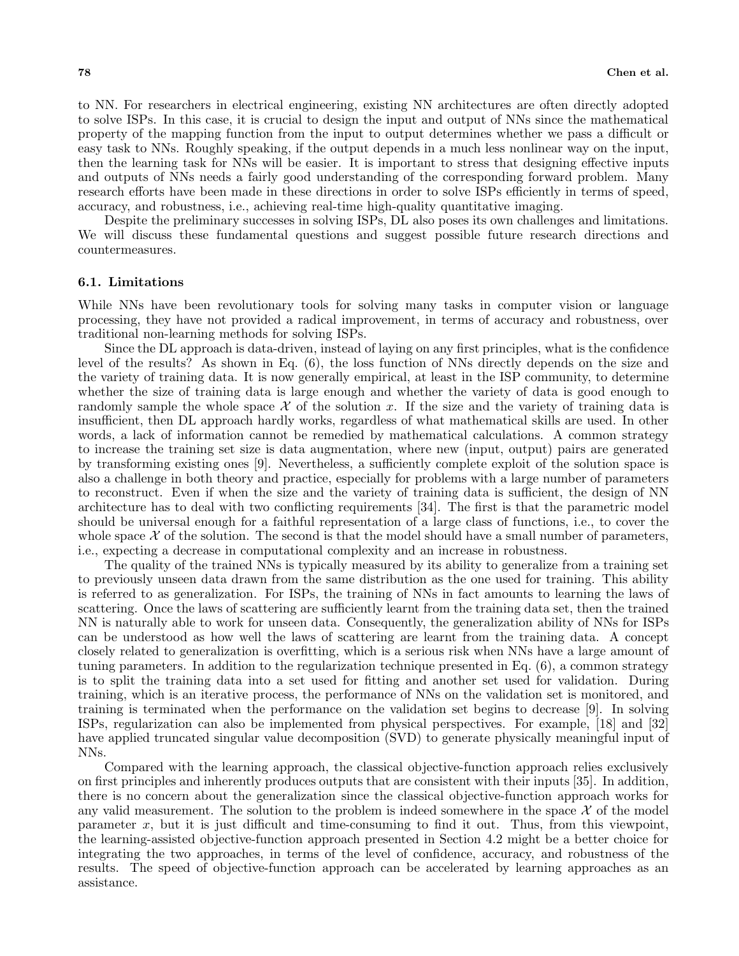to NN. For researchers in electrical engineering, existing NN architectures are often directly adopted to solve ISPs. In this case, it is crucial to design the input and output of NNs since the mathematical property of the mapping function from the input to output determines whether we pass a difficult or easy task to NNs. Roughly speaking, if the output depends in a much less nonlinear way on the input, then the learning task for NNs will be easier. It is important to stress that designing effective inputs and outputs of NNs needs a fairly good understanding of the corresponding forward problem. Many research efforts have been made in these directions in order to solve ISPs efficiently in terms of speed, accuracy, and robustness, i.e., achieving real-time high-quality quantitative imaging.

Despite the preliminary successes in solving ISPs, DL also poses its own challenges and limitations. We will discuss these fundamental questions and suggest possible future research directions and countermeasures.

#### **6.1. Limitations**

While NNs have been revolutionary tools for solving many tasks in computer vision or language processing, they have not provided a radical improvement, in terms of accuracy and robustness, over traditional non-learning methods for solving ISPs.

Since the DL approach is data-driven, instead of laying on any first principles, what is the confidence level of the results? As shown in Eq. (6), the loss function of NNs directly depends on the size and the variety of training data. It is now generally empirical, at least in the ISP community, to determine whether the size of training data is large enough and whether the variety of data is good enough to randomly sample the whole space  $\mathcal X$  of the solution x. If the size and the variety of training data is insufficient, then DL approach hardly works, regardless of what mathematical skills are used. In other words, a lack of information cannot be remedied by mathematical calculations. A common strategy to increase the training set size is data augmentation, where new (input, output) pairs are generated by transforming existing ones [9]. Nevertheless, a sufficiently complete exploit of the solution space is also a challenge in both theory and practice, especially for problems with a large number of parameters to reconstruct. Even if when the size and the variety of training data is sufficient, the design of NN architecture has to deal with two conflicting requirements [34]. The first is that the parametric model should be universal enough for a faithful representation of a large class of functions, i.e., to cover the whole space  $X$  of the solution. The second is that the model should have a small number of parameters, i.e., expecting a decrease in computational complexity and an increase in robustness.

The quality of the trained NNs is typically measured by its ability to generalize from a training set to previously unseen data drawn from the same distribution as the one used for training. This ability is referred to as generalization. For ISPs, the training of NNs in fact amounts to learning the laws of scattering. Once the laws of scattering are sufficiently learnt from the training data set, then the trained NN is naturally able to work for unseen data. Consequently, the generalization ability of NNs for ISPs can be understood as how well the laws of scattering are learnt from the training data. A concept closely related to generalization is overfitting, which is a serious risk when NNs have a large amount of tuning parameters. In addition to the regularization technique presented in Eq. (6), a common strategy is to split the training data into a set used for fitting and another set used for validation. During training, which is an iterative process, the performance of NNs on the validation set is monitored, and training is terminated when the performance on the validation set begins to decrease [9]. In solving ISPs, regularization can also be implemented from physical perspectives. For example, [18] and [32] have applied truncated singular value decomposition (SVD) to generate physically meaningful input of NNs.

Compared with the learning approach, the classical objective-function approach relies exclusively on first principles and inherently produces outputs that are consistent with their inputs [35]. In addition, there is no concern about the generalization since the classical objective-function approach works for any valid measurement. The solution to the problem is indeed somewhere in the space  $\mathcal X$  of the model parameter x, but it is just difficult and time-consuming to find it out. Thus, from this viewpoint, the learning-assisted objective-function approach presented in Section 4.2 might be a better choice for integrating the two approaches, in terms of the level of confidence, accuracy, and robustness of the results. The speed of objective-function approach can be accelerated by learning approaches as an assistance.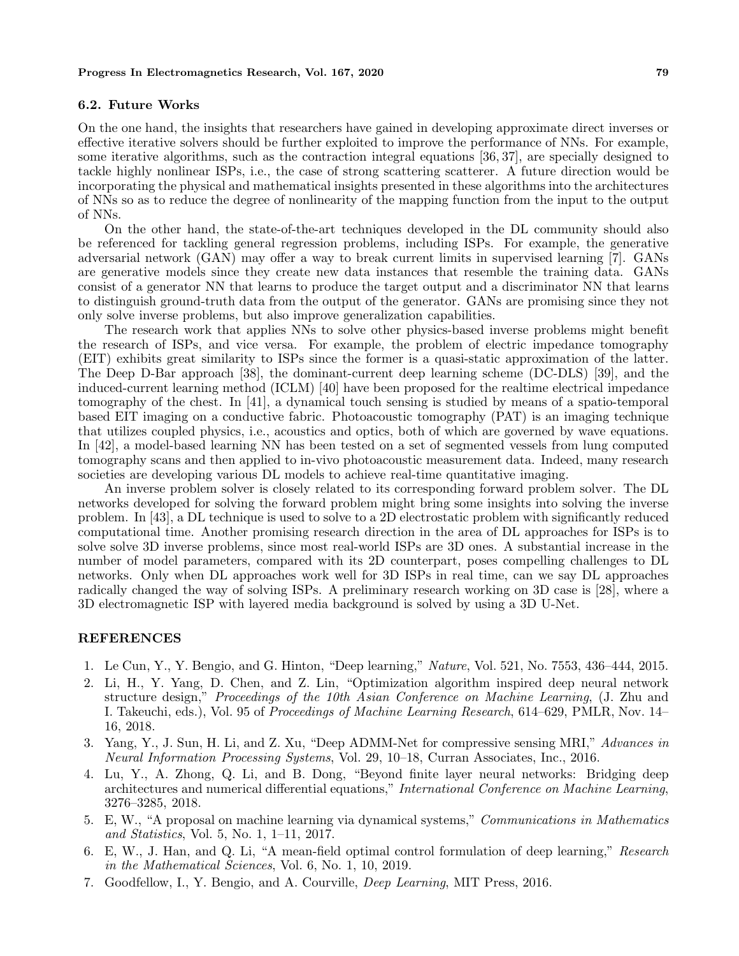### **6.2. Future Works**

On the one hand, the insights that researchers have gained in developing approximate direct inverses or effective iterative solvers should be further exploited to improve the performance of NNs. For example, some iterative algorithms, such as the contraction integral equations [36, 37], are specially designed to tackle highly nonlinear ISPs, i.e., the case of strong scattering scatterer. A future direction would be incorporating the physical and mathematical insights presented in these algorithms into the architectures of NNs so as to reduce the degree of nonlinearity of the mapping function from the input to the output of NNs.

On the other hand, the state-of-the-art techniques developed in the DL community should also be referenced for tackling general regression problems, including ISPs. For example, the generative adversarial network (GAN) may offer a way to break current limits in supervised learning [7]. GANs are generative models since they create new data instances that resemble the training data. GANs consist of a generator NN that learns to produce the target output and a discriminator NN that learns to distinguish ground-truth data from the output of the generator. GANs are promising since they not only solve inverse problems, but also improve generalization capabilities.

The research work that applies NNs to solve other physics-based inverse problems might benefit the research of ISPs, and vice versa. For example, the problem of electric impedance tomography (EIT) exhibits great similarity to ISPs since the former is a quasi-static approximation of the latter. The Deep D-Bar approach [38], the dominant-current deep learning scheme (DC-DLS) [39], and the induced-current learning method (ICLM) [40] have been proposed for the realtime electrical impedance tomography of the chest. In [41], a dynamical touch sensing is studied by means of a spatio-temporal based EIT imaging on a conductive fabric. Photoacoustic tomography (PAT) is an imaging technique that utilizes coupled physics, i.e., acoustics and optics, both of which are governed by wave equations. In [42], a model-based learning NN has been tested on a set of segmented vessels from lung computed tomography scans and then applied to in-vivo photoacoustic measurement data. Indeed, many research societies are developing various DL models to achieve real-time quantitative imaging.

An inverse problem solver is closely related to its corresponding forward problem solver. The DL networks developed for solving the forward problem might bring some insights into solving the inverse problem. In [43], a DL technique is used to solve to a 2D electrostatic problem with significantly reduced computational time. Another promising research direction in the area of DL approaches for ISPs is to solve solve 3D inverse problems, since most real-world ISPs are 3D ones. A substantial increase in the number of model parameters, compared with its 2D counterpart, poses compelling challenges to DL networks. Only when DL approaches work well for 3D ISPs in real time, can we say DL approaches radically changed the way of solving ISPs. A preliminary research working on 3D case is [28], where a 3D electromagnetic ISP with layered media background is solved by using a 3D U-Net.

# **REFERENCES**

- 1. Le Cun, Y., Y. Bengio, and G. Hinton, "Deep learning," *Nature*, Vol. 521, No. 7553, 436–444, 2015.
- 2. Li, H., Y. Yang, D. Chen, and Z. Lin, "Optimization algorithm inspired deep neural network structure design," *Proceedings of the 10th Asian Conference on Machine Learning*, (J. Zhu and I. Takeuchi, eds.), Vol. 95 of *Proceedings of Machine Learning Research*, 614–629, PMLR, Nov. 14– 16, 2018.
- 3. Yang, Y., J. Sun, H. Li, and Z. Xu, "Deep ADMM-Net for compressive sensing MRI," *Advances in Neural Information Processing Systems*, Vol. 29, 10–18, Curran Associates, Inc., 2016.
- 4. Lu, Y., A. Zhong, Q. Li, and B. Dong, "Beyond finite layer neural networks: Bridging deep architectures and numerical differential equations," *International Conference on Machine Learning*, 3276–3285, 2018.
- 5. E, W., "A proposal on machine learning via dynamical systems," *Communications in Mathematics and Statistics*, Vol. 5, No. 1, 1–11, 2017.
- 6. E, W., J. Han, and Q. Li, "A mean-field optimal control formulation of deep learning," *Research in the Mathematical Sciences*, Vol. 6, No. 1, 10, 2019.
- 7. Goodfellow, I., Y. Bengio, and A. Courville, *Deep Learning*, MIT Press, 2016.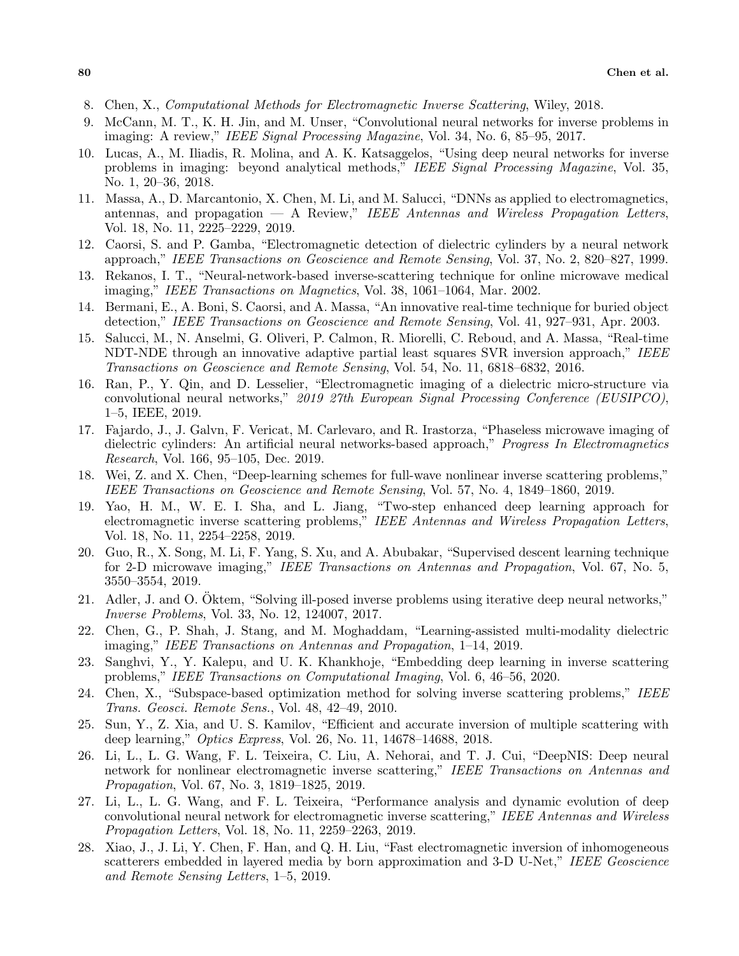- 8. Chen, X., *Computational Methods for Electromagnetic Inverse Scattering*, Wiley, 2018.
- 9. McCann, M. T., K. H. Jin, and M. Unser, "Convolutional neural networks for inverse problems in imaging: A review," *IEEE Signal Processing Magazine*, Vol. 34, No. 6, 85–95, 2017.
- 10. Lucas, A., M. Iliadis, R. Molina, and A. K. Katsaggelos, "Using deep neural networks for inverse problems in imaging: beyond analytical methods," *IEEE Signal Processing Magazine*, Vol. 35, No. 1, 20–36, 2018.
- 11. Massa, A., D. Marcantonio, X. Chen, M. Li, and M. Salucci, "DNNs as applied to electromagnetics, antennas, and propagation — A Review," *IEEE Antennas and Wireless Propagation Letters*, Vol. 18, No. 11, 2225–2229, 2019.
- 12. Caorsi, S. and P. Gamba, "Electromagnetic detection of dielectric cylinders by a neural network approach," *IEEE Transactions on Geoscience and Remote Sensing*, Vol. 37, No. 2, 820–827, 1999.
- 13. Rekanos, I. T., "Neural-network-based inverse-scattering technique for online microwave medical imaging," *IEEE Transactions on Magnetics*, Vol. 38, 1061–1064, Mar. 2002.
- 14. Bermani, E., A. Boni, S. Caorsi, and A. Massa, "An innovative real-time technique for buried object detection," *IEEE Transactions on Geoscience and Remote Sensing*, Vol. 41, 927–931, Apr. 2003.
- 15. Salucci, M., N. Anselmi, G. Oliveri, P. Calmon, R. Miorelli, C. Reboud, and A. Massa, "Real-time NDT-NDE through an innovative adaptive partial least squares SVR inversion approach," *IEEE Transactions on Geoscience and Remote Sensing*, Vol. 54, No. 11, 6818–6832, 2016.
- 16. Ran, P., Y. Qin, and D. Lesselier, "Electromagnetic imaging of a dielectric micro-structure via convolutional neural networks," *2019 27th European Signal Processing Conference (EUSIPCO)*, 1–5, IEEE, 2019.
- 17. Fajardo, J., J. Galvn, F. Vericat, M. Carlevaro, and R. Irastorza, "Phaseless microwave imaging of dielectric cylinders: An artificial neural networks-based approach," *Progress In Electromagnetics Research*, Vol. 166, 95–105, Dec. 2019.
- 18. Wei, Z. and X. Chen, "Deep-learning schemes for full-wave nonlinear inverse scattering problems," *IEEE Transactions on Geoscience and Remote Sensing*, Vol. 57, No. 4, 1849–1860, 2019.
- 19. Yao, H. M., W. E. I. Sha, and L. Jiang, "Two-step enhanced deep learning approach for electromagnetic inverse scattering problems," *IEEE Antennas and Wireless Propagation Letters*, Vol. 18, No. 11, 2254–2258, 2019.
- 20. Guo, R., X. Song, M. Li, F. Yang, S. Xu, and A. Abubakar, "Supervised descent learning technique for 2-D microwave imaging," *IEEE Transactions on Antennas and Propagation*, Vol. 67, No. 5, 3550–3554, 2019.
- 21. Adler, J. and O. Oktem, "Solving ill-posed inverse problems using iterative deep neural networks," ¨ *Inverse Problems*, Vol. 33, No. 12, 124007, 2017.
- 22. Chen, G., P. Shah, J. Stang, and M. Moghaddam, "Learning-assisted multi-modality dielectric imaging," *IEEE Transactions on Antennas and Propagation*, 1–14, 2019.
- 23. Sanghvi, Y., Y. Kalepu, and U. K. Khankhoje, "Embedding deep learning in inverse scattering problems," *IEEE Transactions on Computational Imaging*, Vol. 6, 46–56, 2020.
- 24. Chen, X., "Subspace-based optimization method for solving inverse scattering problems," *IEEE Trans. Geosci. Remote Sens.*, Vol. 48, 42–49, 2010.
- 25. Sun, Y., Z. Xia, and U. S. Kamilov, "Efficient and accurate inversion of multiple scattering with deep learning," *Optics Express*, Vol. 26, No. 11, 14678–14688, 2018.
- 26. Li, L., L. G. Wang, F. L. Teixeira, C. Liu, A. Nehorai, and T. J. Cui, "DeepNIS: Deep neural network for nonlinear electromagnetic inverse scattering," *IEEE Transactions on Antennas and Propagation*, Vol. 67, No. 3, 1819–1825, 2019.
- 27. Li, L., L. G. Wang, and F. L. Teixeira, "Performance analysis and dynamic evolution of deep convolutional neural network for electromagnetic inverse scattering," *IEEE Antennas and Wireless Propagation Letters*, Vol. 18, No. 11, 2259–2263, 2019.
- 28. Xiao, J., J. Li, Y. Chen, F. Han, and Q. H. Liu, "Fast electromagnetic inversion of inhomogeneous scatterers embedded in layered media by born approximation and 3-D U-Net," *IEEE Geoscience and Remote Sensing Letters*, 1–5, 2019.